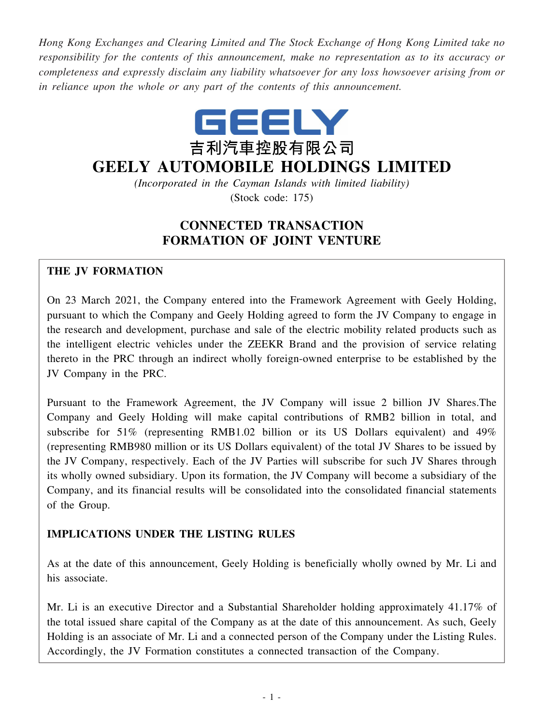*Hong Kong Exchanges and Clearing Limited and The Stock Exchange of Hong Kong Limited take no responsibility for the contents of this announcement, make no representation as to its accuracy or completeness and expressly disclaim any liability whatsoever for any loss howsoever arising from or in reliance upon the whole or any part of the contents of this announcement.*



# **GEELY AUTOMOBILE HOLDINGS LIMITED**

*(Incorporated in the Cayman Islands with limited liability)* (Stock code: 175)

## **CONNECTED TRANSACTION FORMATION OF JOINT VENTURE**

## **THE JV FORMATION**

On 23 March 2021, the Company entered into the Framework Agreement with Geely Holding, pursuant to which the Company and Geely Holding agreed to form the JV Company to engage in the research and development, purchase and sale of the electric mobility related products such as the intelligent electric vehicles under the ZEEKR Brand and the provision of service relating thereto in the PRC through an indirect wholly foreign-owned enterprise to be established by the JV Company in the PRC.

Pursuant to the Framework Agreement, the JV Company will issue 2 billion JV Shares.The Company and Geely Holding will make capital contributions of RMB2 billion in total, and subscribe for 51% (representing RMB1.02 billion or its US Dollars equivalent) and 49% (representing RMB980 million or its US Dollars equivalent) of the total JV Shares to be issued by the JV Company, respectively. Each of the JV Parties will subscribe for such JV Shares through its wholly owned subsidiary. Upon its formation, the JV Company will become a subsidiary of the Company, and its financial results will be consolidated into the consolidated financial statements of the Group.

## **IMPLICATIONS UNDER THE LISTING RULES**

As at the date of this announcement, Geely Holding is beneficially wholly owned by Mr. Li and his associate.

Mr. Li is an executive Director and a Substantial Shareholder holding approximately 41.17% of the total issued share capital of the Company as at the date of this announcement. As such, Geely Holding is an associate of Mr. Li and a connected person of the Company under the Listing Rules. Accordingly, the JV Formation constitutes a connected transaction of the Company.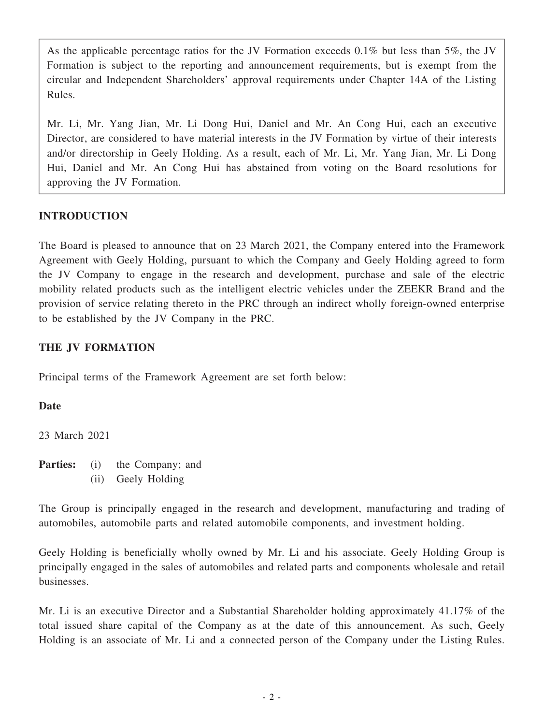As the applicable percentage ratios for the JV Formation exceeds 0.1% but less than 5%, the JV Formation is subject to the reporting and announcement requirements, but is exempt from the circular and Independent Shareholders' approval requirements under Chapter 14A of the Listing Rules.

Mr. Li, Mr. Yang Jian, Mr. Li Dong Hui, Daniel and Mr. An Cong Hui, each an executive Director, are considered to have material interests in the JV Formation by virtue of their interests and/or directorship in Geely Holding. As a result, each of Mr. Li, Mr. Yang Jian, Mr. Li Dong Hui, Daniel and Mr. An Cong Hui has abstained from voting on the Board resolutions for approving the JV Formation.

## **INTRODUCTION**

The Board is pleased to announce that on 23 March 2021, the Company entered into the Framework Agreement with Geely Holding, pursuant to which the Company and Geely Holding agreed to form the JV Company to engage in the research and development, purchase and sale of the electric mobility related products such as the intelligent electric vehicles under the ZEEKR Brand and the provision of service relating thereto in the PRC through an indirect wholly foreign-owned enterprise to be established by the JV Company in the PRC.

## **THE JV FORMATION**

Principal terms of the Framework Agreement are set forth below:

#### **Date**

23 March 2021

**Parties:** (i) the Company; and (ii) Geely Holding

The Group is principally engaged in the research and development, manufacturing and trading of automobiles, automobile parts and related automobile components, and investment holding.

Geely Holding is beneficially wholly owned by Mr. Li and his associate. Geely Holding Group is principally engaged in the sales of automobiles and related parts and components wholesale and retail businesses.

Mr. Li is an executive Director and a Substantial Shareholder holding approximately 41.17% of the total issued share capital of the Company as at the date of this announcement. As such, Geely Holding is an associate of Mr. Li and a connected person of the Company under the Listing Rules.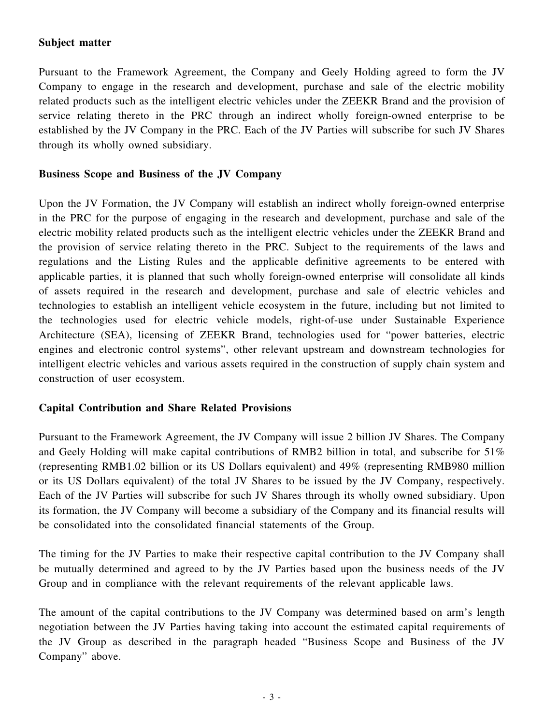#### **Subject matter**

Pursuant to the Framework Agreement, the Company and Geely Holding agreed to form the JV Company to engage in the research and development, purchase and sale of the electric mobility related products such as the intelligent electric vehicles under the ZEEKR Brand and the provision of service relating thereto in the PRC through an indirect wholly foreign-owned enterprise to be established by the JV Company in the PRC. Each of the JV Parties will subscribe for such JV Shares through its wholly owned subsidiary.

#### **Business Scope and Business of the JV Company**

Upon the JV Formation, the JV Company will establish an indirect wholly foreign-owned enterprise in the PRC for the purpose of engaging in the research and development, purchase and sale of the electric mobility related products such as the intelligent electric vehicles under the ZEEKR Brand and the provision of service relating thereto in the PRC. Subject to the requirements of the laws and regulations and the Listing Rules and the applicable definitive agreements to be entered with applicable parties, it is planned that such wholly foreign-owned enterprise will consolidate all kinds of assets required in the research and development, purchase and sale of electric vehicles and technologies to establish an intelligent vehicle ecosystem in the future, including but not limited to the technologies used for electric vehicle models, right-of-use under Sustainable Experience Architecture (SEA), licensing of ZEEKR Brand, technologies used for "power batteries, electric engines and electronic control systems", other relevant upstream and downstream technologies for intelligent electric vehicles and various assets required in the construction of supply chain system and construction of user ecosystem.

#### **Capital Contribution and Share Related Provisions**

Pursuant to the Framework Agreement, the JV Company will issue 2 billion JV Shares. The Company and Geely Holding will make capital contributions of RMB2 billion in total, and subscribe for 51% (representing RMB1.02 billion or its US Dollars equivalent) and 49% (representing RMB980 million or its US Dollars equivalent) of the total JV Shares to be issued by the JV Company, respectively. Each of the JV Parties will subscribe for such JV Shares through its wholly owned subsidiary. Upon its formation, the JV Company will become a subsidiary of the Company and its financial results will be consolidated into the consolidated financial statements of the Group.

The timing for the JV Parties to make their respective capital contribution to the JV Company shall be mutually determined and agreed to by the JV Parties based upon the business needs of the JV Group and in compliance with the relevant requirements of the relevant applicable laws.

The amount of the capital contributions to the JV Company was determined based on arm's length negotiation between the JV Parties having taking into account the estimated capital requirements of the JV Group as described in the paragraph headed "Business Scope and Business of the JV Company" above.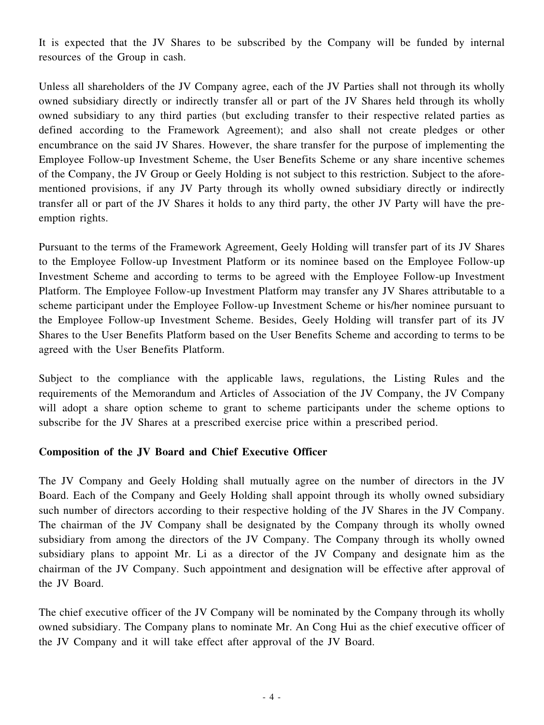It is expected that the JV Shares to be subscribed by the Company will be funded by internal resources of the Group in cash.

Unless all shareholders of the JV Company agree, each of the JV Parties shall not through its wholly owned subsidiary directly or indirectly transfer all or part of the JV Shares held through its wholly owned subsidiary to any third parties (but excluding transfer to their respective related parties as defined according to the Framework Agreement); and also shall not create pledges or other encumbrance on the said JV Shares. However, the share transfer for the purpose of implementing the Employee Follow-up Investment Scheme, the User Benefits Scheme or any share incentive schemes of the Company, the JV Group or Geely Holding is not subject to this restriction. Subject to the aforementioned provisions, if any JV Party through its wholly owned subsidiary directly or indirectly transfer all or part of the JV Shares it holds to any third party, the other JV Party will have the preemption rights.

Pursuant to the terms of the Framework Agreement, Geely Holding will transfer part of its JV Shares to the Employee Follow-up Investment Platform or its nominee based on the Employee Follow-up Investment Scheme and according to terms to be agreed with the Employee Follow-up Investment Platform. The Employee Follow-up Investment Platform may transfer any JV Shares attributable to a scheme participant under the Employee Follow-up Investment Scheme or his/her nominee pursuant to the Employee Follow-up Investment Scheme. Besides, Geely Holding will transfer part of its JV Shares to the User Benefits Platform based on the User Benefits Scheme and according to terms to be agreed with the User Benefits Platform.

Subject to the compliance with the applicable laws, regulations, the Listing Rules and the requirements of the Memorandum and Articles of Association of the JV Company, the JV Company will adopt a share option scheme to grant to scheme participants under the scheme options to subscribe for the JV Shares at a prescribed exercise price within a prescribed period.

#### **Composition of the JV Board and Chief Executive Officer**

The JV Company and Geely Holding shall mutually agree on the number of directors in the JV Board. Each of the Company and Geely Holding shall appoint through its wholly owned subsidiary such number of directors according to their respective holding of the JV Shares in the JV Company. The chairman of the JV Company shall be designated by the Company through its wholly owned subsidiary from among the directors of the JV Company. The Company through its wholly owned subsidiary plans to appoint Mr. Li as a director of the JV Company and designate him as the chairman of the JV Company. Such appointment and designation will be effective after approval of the JV Board.

The chief executive officer of the JV Company will be nominated by the Company through its wholly owned subsidiary. The Company plans to nominate Mr. An Cong Hui as the chief executive officer of the JV Company and it will take effect after approval of the JV Board.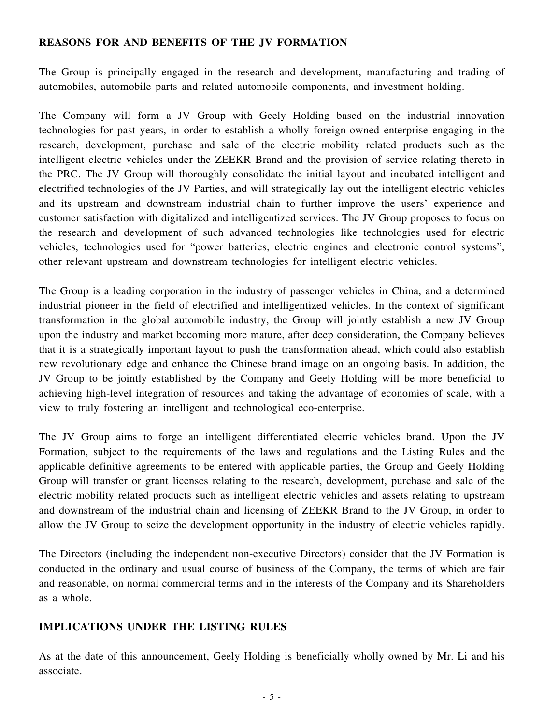## **REASONS FOR AND BENEFITS OF THE JV FORMATION**

The Group is principally engaged in the research and development, manufacturing and trading of automobiles, automobile parts and related automobile components, and investment holding.

The Company will form a JV Group with Geely Holding based on the industrial innovation technologies for past years, in order to establish a wholly foreign-owned enterprise engaging in the research, development, purchase and sale of the electric mobility related products such as the intelligent electric vehicles under the ZEEKR Brand and the provision of service relating thereto in the PRC. The JV Group will thoroughly consolidate the initial layout and incubated intelligent and electrified technologies of the JV Parties, and will strategically lay out the intelligent electric vehicles and its upstream and downstream industrial chain to further improve the users' experience and customer satisfaction with digitalized and intelligentized services. The JV Group proposes to focus on the research and development of such advanced technologies like technologies used for electric vehicles, technologies used for "power batteries, electric engines and electronic control systems", other relevant upstream and downstream technologies for intelligent electric vehicles.

The Group is a leading corporation in the industry of passenger vehicles in China, and a determined industrial pioneer in the field of electrified and intelligentized vehicles. In the context of significant transformation in the global automobile industry, the Group will jointly establish a new JV Group upon the industry and market becoming more mature, after deep consideration, the Company believes that it is a strategically important layout to push the transformation ahead, which could also establish new revolutionary edge and enhance the Chinese brand image on an ongoing basis. In addition, the JV Group to be jointly established by the Company and Geely Holding will be more beneficial to achieving high-level integration of resources and taking the advantage of economies of scale, with a view to truly fostering an intelligent and technological eco-enterprise.

The JV Group aims to forge an intelligent differentiated electric vehicles brand. Upon the JV Formation, subject to the requirements of the laws and regulations and the Listing Rules and the applicable definitive agreements to be entered with applicable parties, the Group and Geely Holding Group will transfer or grant licenses relating to the research, development, purchase and sale of the electric mobility related products such as intelligent electric vehicles and assets relating to upstream and downstream of the industrial chain and licensing of ZEEKR Brand to the JV Group, in order to allow the JV Group to seize the development opportunity in the industry of electric vehicles rapidly.

The Directors (including the independent non-executive Directors) consider that the JV Formation is conducted in the ordinary and usual course of business of the Company, the terms of which are fair and reasonable, on normal commercial terms and in the interests of the Company and its Shareholders as a whole.

#### **IMPLICATIONS UNDER THE LISTING RULES**

As at the date of this announcement, Geely Holding is beneficially wholly owned by Mr. Li and his associate.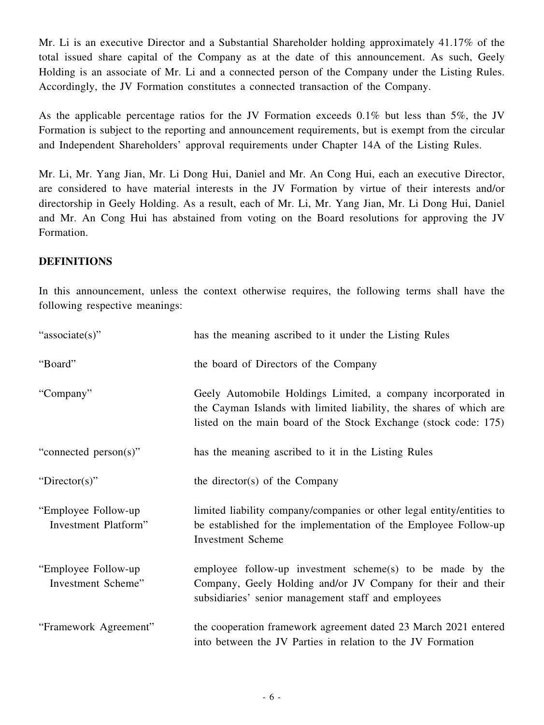Mr. Li is an executive Director and a Substantial Shareholder holding approximately 41.17% of the total issued share capital of the Company as at the date of this announcement. As such, Geely Holding is an associate of Mr. Li and a connected person of the Company under the Listing Rules. Accordingly, the JV Formation constitutes a connected transaction of the Company.

As the applicable percentage ratios for the JV Formation exceeds 0.1% but less than 5%, the JV Formation is subject to the reporting and announcement requirements, but is exempt from the circular and Independent Shareholders' approval requirements under Chapter 14A of the Listing Rules.

Mr. Li, Mr. Yang Jian, Mr. Li Dong Hui, Daniel and Mr. An Cong Hui, each an executive Director, are considered to have material interests in the JV Formation by virtue of their interests and/or directorship in Geely Holding. As a result, each of Mr. Li, Mr. Yang Jian, Mr. Li Dong Hui, Daniel and Mr. An Cong Hui has abstained from voting on the Board resolutions for approving the JV Formation.

#### **DEFINITIONS**

In this announcement, unless the context otherwise requires, the following terms shall have the following respective meanings:

| "associate(s)"                              | has the meaning ascribed to it under the Listing Rules                                                                                                                                                 |
|---------------------------------------------|--------------------------------------------------------------------------------------------------------------------------------------------------------------------------------------------------------|
| "Board"                                     | the board of Directors of the Company                                                                                                                                                                  |
| "Company"                                   | Geely Automobile Holdings Limited, a company incorporated in<br>the Cayman Islands with limited liability, the shares of which are<br>listed on the main board of the Stock Exchange (stock code: 175) |
| "connected person(s)"                       | has the meaning ascribed to it in the Listing Rules                                                                                                                                                    |
| "Director(s)"                               | the director(s) of the Company                                                                                                                                                                         |
| "Employee Follow-up<br>Investment Platform" | limited liability company/companies or other legal entity/entities to<br>be established for the implementation of the Employee Follow-up<br><b>Investment Scheme</b>                                   |
| "Employee Follow-up"<br>Investment Scheme"  | employee follow-up investment scheme(s) to be made by the<br>Company, Geely Holding and/or JV Company for their and their<br>subsidiaries' senior management staff and employees                       |
| "Framework Agreement"                       | the cooperation framework agreement dated 23 March 2021 entered<br>into between the JV Parties in relation to the JV Formation                                                                         |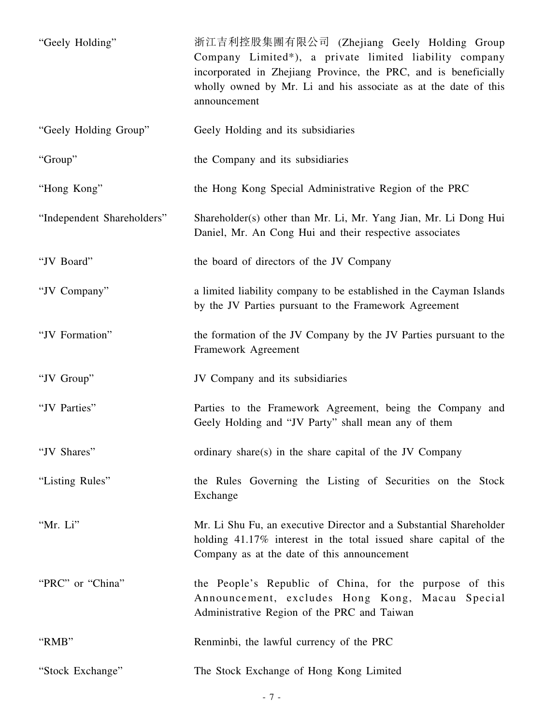| "Geely Holding"            | 浙江吉利控股集團有限公司 (Zhejiang Geely Holding Group<br>Company Limited*), a private limited liability company<br>incorporated in Zhejiang Province, the PRC, and is beneficially<br>wholly owned by Mr. Li and his associate as at the date of this<br>announcement |
|----------------------------|------------------------------------------------------------------------------------------------------------------------------------------------------------------------------------------------------------------------------------------------------------|
| "Geely Holding Group"      | Geely Holding and its subsidiaries                                                                                                                                                                                                                         |
| "Group"                    | the Company and its subsidiaries                                                                                                                                                                                                                           |
| "Hong Kong"                | the Hong Kong Special Administrative Region of the PRC                                                                                                                                                                                                     |
| "Independent Shareholders" | Shareholder(s) other than Mr. Li, Mr. Yang Jian, Mr. Li Dong Hui<br>Daniel, Mr. An Cong Hui and their respective associates                                                                                                                                |
| "JV Board"                 | the board of directors of the JV Company                                                                                                                                                                                                                   |
| "JV Company"               | a limited liability company to be established in the Cayman Islands<br>by the JV Parties pursuant to the Framework Agreement                                                                                                                               |
| "JV Formation"             | the formation of the JV Company by the JV Parties pursuant to the<br>Framework Agreement                                                                                                                                                                   |
| "JV Group"                 | JV Company and its subsidiaries                                                                                                                                                                                                                            |
| "JV Parties"               | Parties to the Framework Agreement, being the Company and<br>Geely Holding and "JV Party" shall mean any of them                                                                                                                                           |
| "JV Shares"                | ordinary share(s) in the share capital of the JV Company                                                                                                                                                                                                   |
| "Listing Rules"            | the Rules Governing the Listing of Securities on the Stock<br>Exchange                                                                                                                                                                                     |
| "Mr. Li"                   | Mr. Li Shu Fu, an executive Director and a Substantial Shareholder<br>holding 41.17% interest in the total issued share capital of the<br>Company as at the date of this announcement                                                                      |
| "PRC" or "China"           | the People's Republic of China, for the purpose of this<br>Announcement, excludes Hong Kong, Macau Special<br>Administrative Region of the PRC and Taiwan                                                                                                  |
| "RMB"                      | Renminbi, the lawful currency of the PRC                                                                                                                                                                                                                   |
| "Stock Exchange"           | The Stock Exchange of Hong Kong Limited                                                                                                                                                                                                                    |